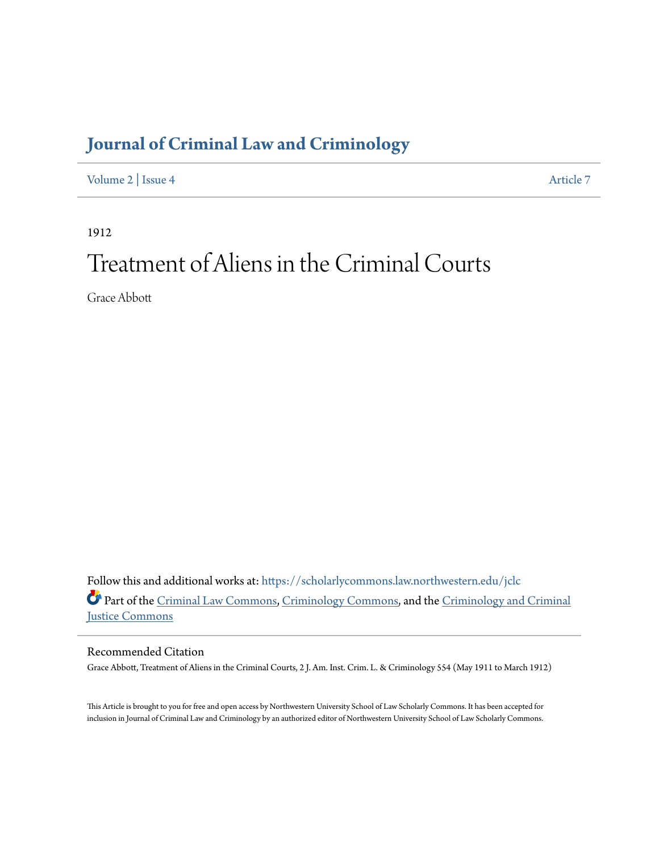# **[Journal of Criminal Law and Criminology](https://scholarlycommons.law.northwestern.edu/jclc?utm_source=scholarlycommons.law.northwestern.edu%2Fjclc%2Fvol2%2Fiss4%2F7&utm_medium=PDF&utm_campaign=PDFCoverPages)**

[Volume 2](https://scholarlycommons.law.northwestern.edu/jclc/vol2?utm_source=scholarlycommons.law.northwestern.edu%2Fjclc%2Fvol2%2Fiss4%2F7&utm_medium=PDF&utm_campaign=PDFCoverPages) | [Issue 4](https://scholarlycommons.law.northwestern.edu/jclc/vol2/iss4?utm_source=scholarlycommons.law.northwestern.edu%2Fjclc%2Fvol2%2Fiss4%2F7&utm_medium=PDF&utm_campaign=PDFCoverPages) [Article 7](https://scholarlycommons.law.northwestern.edu/jclc/vol2/iss4/7?utm_source=scholarlycommons.law.northwestern.edu%2Fjclc%2Fvol2%2Fiss4%2F7&utm_medium=PDF&utm_campaign=PDFCoverPages)

1912

# Treatment of Aliens in the Criminal Courts

Grace Abbott

Follow this and additional works at: [https://scholarlycommons.law.northwestern.edu/jclc](https://scholarlycommons.law.northwestern.edu/jclc?utm_source=scholarlycommons.law.northwestern.edu%2Fjclc%2Fvol2%2Fiss4%2F7&utm_medium=PDF&utm_campaign=PDFCoverPages) Part of the [Criminal Law Commons](http://network.bepress.com/hgg/discipline/912?utm_source=scholarlycommons.law.northwestern.edu%2Fjclc%2Fvol2%2Fiss4%2F7&utm_medium=PDF&utm_campaign=PDFCoverPages), [Criminology Commons](http://network.bepress.com/hgg/discipline/417?utm_source=scholarlycommons.law.northwestern.edu%2Fjclc%2Fvol2%2Fiss4%2F7&utm_medium=PDF&utm_campaign=PDFCoverPages), and the [Criminology and Criminal](http://network.bepress.com/hgg/discipline/367?utm_source=scholarlycommons.law.northwestern.edu%2Fjclc%2Fvol2%2Fiss4%2F7&utm_medium=PDF&utm_campaign=PDFCoverPages) [Justice Commons](http://network.bepress.com/hgg/discipline/367?utm_source=scholarlycommons.law.northwestern.edu%2Fjclc%2Fvol2%2Fiss4%2F7&utm_medium=PDF&utm_campaign=PDFCoverPages)

Recommended Citation

Grace Abbott, Treatment of Aliens in the Criminal Courts, 2 J. Am. Inst. Crim. L. & Criminology 554 (May 1911 to March 1912)

This Article is brought to you for free and open access by Northwestern University School of Law Scholarly Commons. It has been accepted for inclusion in Journal of Criminal Law and Criminology by an authorized editor of Northwestern University School of Law Scholarly Commons.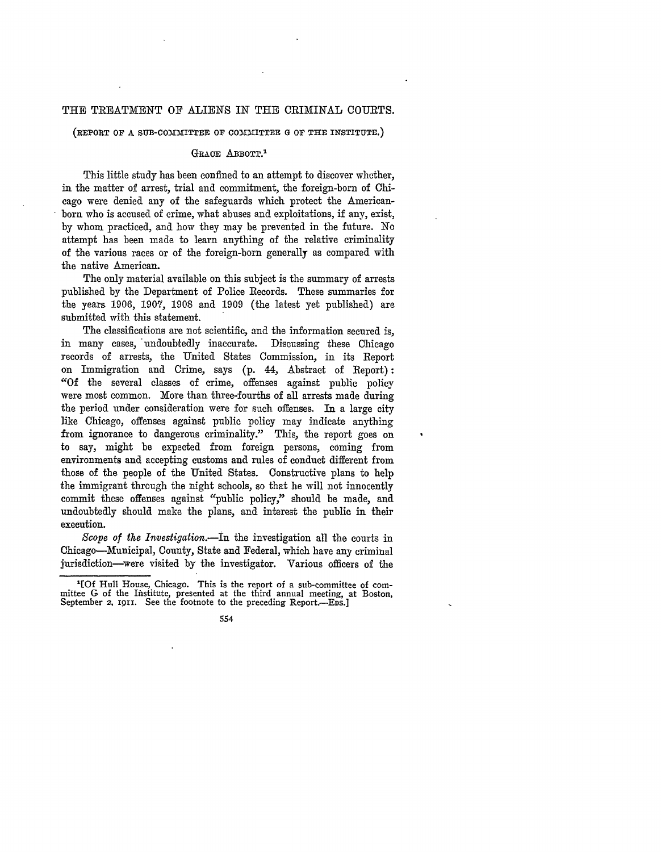### THE TREATMENT OF ALIENS IN THE CRIMINAL COURTS.

#### **(REPORT OF A SUB-COMMITTEE OF COMMITTEE G OF THE INSTITUTE.)**

#### **GRACE ABBOTT."**

This little study has been confined to an attempt to discover whether, in the matter of arrest, trial and commitment, the foreign-born of Chicago were denied any of the safeguards which protect the Americanborn who is accused of crime, what abuses and exploitations, if any, exist, **by** whom practiced, and how they may be prevented in the future. No attempt has been made to learn anything of the relative criminality of the various races or of the foreign-born generally as compared with the native American.

The only material available on this subject is the summary of arrests published by the Department of Police Records. These summaries for the years 1906, **1907,** 1908 and 1909 (the latest yet published) are submitted with this statement.

The classifications are not scientific, and the information secured is, in many cases, 'undoubtedly inaccurate. Discussing these Chicago records of arrests, the United States Commission, in its Report on Immigration and Crime, says (p. 44, Abstract of Report): "Of the several classes of crime, offenses against public policy were most common. More than three-fourths of all arrests made during the period under consideration were for such offenses. In a large city like Chicago, offenses against public policy may indicate anything from ignorance to dangerous criminality." This, the report goes on to say, might be expected from foreign persons, coming from environments and accepting customs and rules of conduct different from those of the people of the United States. Constructive plans to help the immigrant through the night schools, so that he will not innocently commit these offenses against "public policy," should be made, and undoubtedly should make the plans, and interest the public in their execution.

*Scope of the Investigation.-In* the investigation all the courts in Chicago-Municipal, County, State and Federal, which have any criminal jurisdiction-were visited **by** the investigator. Various officers of the

**<sup>1</sup> [Of** Hull House, Chicago. This is the report of a sub-committee of committee G of the Institute, presented at the third annual meeting, at Boston, September 2, 1911. See the footnote to the preceding Report.--Eps.]

**<sup>554</sup>**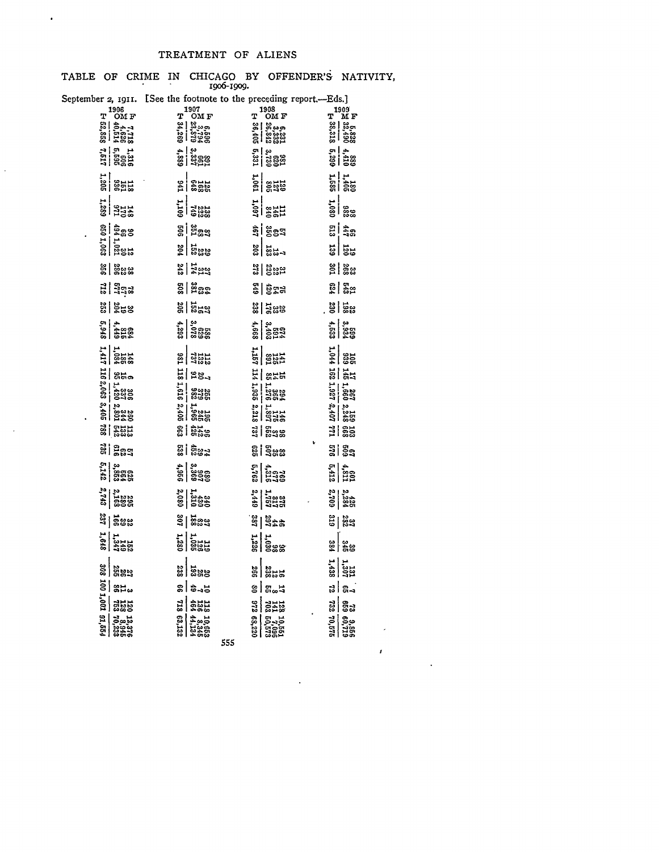$\hat{\mathbf{r}}$ 

 $\ddot{\phantom{0}}$ 

 $\ddot{\phantom{a}}$ 

| September 2, 1911.<br>$^{1906}_{\rm OM~F}$<br>т<br>$\begin{array}{c} 7.718 \\ -4.651 \\ -4.651 \\ -6.558 \end{array}$ | [See the footnote to the preceding report.--Eds.]<br>$r^{1907}$ OM F<br><b>81228</b><br>19528<br>1952 | $^{1908}_{\, \rm OM\ F}$<br>T<br>eas22<br>2023년<br>2023년<br>2023년                                                                                                                                                                                                                                             | $T^{1909}$ $F$                                                                                  |
|-----------------------------------------------------------------------------------------------------------------------|-------------------------------------------------------------------------------------------------------|---------------------------------------------------------------------------------------------------------------------------------------------------------------------------------------------------------------------------------------------------------------------------------------------------------------|-------------------------------------------------------------------------------------------------|
|                                                                                                                       |                                                                                                       |                                                                                                                                                                                                                                                                                                               |                                                                                                 |
|                                                                                                                       |                                                                                                       |                                                                                                                                                                                                                                                                                                               |                                                                                                 |
|                                                                                                                       |                                                                                                       |                                                                                                                                                                                                                                                                                                               | $\frac{132288}{332413}$                                                                         |
|                                                                                                                       |                                                                                                       |                                                                                                                                                                                                                                                                                                               |                                                                                                 |
| 7.517<br>$1.316$<br>$6.595$<br>$6.595$                                                                                | န္   ဗု<br>စ္ယို အိုဒ္မက္ထိ                                                                           | ္မွာ   မွ<br>အိုဒ္တြဲ အိုဒို                                                                                                                                                                                                                                                                                  | $\frac{4}{36}$<br>$\frac{12}{36}$                                                               |
|                                                                                                                       |                                                                                                       |                                                                                                                                                                                                                                                                                                               |                                                                                                 |
| $\frac{1.205}{1.205}$<br><b>EEE</b>                                                                                   | 비<br>13648                                                                                            | $\frac{1,061}{1,061}$<br><b>2228</b>                                                                                                                                                                                                                                                                          | $\frac{1.581}{1.585}$<br>$1,408$<br>$1,406$                                                     |
|                                                                                                                       |                                                                                                       |                                                                                                                                                                                                                                                                                                               |                                                                                                 |
| 1,289<br><b>1152</b>                                                                                                  | $\frac{1,109}{1,100}$<br>1325<br>749                                                                  | 을 <br>-<br>-                                                                                                                                                                                                                                                                                                  | $\frac{1}{1,080}$<br>ន្លីនឹ                                                                     |
| នី ទិន្នន                                                                                                             | ឌូ  ដូ <sub>ឌី</sub> ឌ                                                                                | ទី ទីទង                                                                                                                                                                                                                                                                                                       | 멻.<br>155                                                                                       |
| $\frac{11,063}{1,063}$<br>ដូនដួ                                                                                       |                                                                                                       |                                                                                                                                                                                                                                                                                                               |                                                                                                 |
|                                                                                                                       | ឌួឌឌី នៃ                                                                                              | -ដនី នៃ                                                                                                                                                                                                                                                                                                       | 빏<br>$\frac{120}{120}$                                                                          |
| នះនីងនឹ                                                                                                               | en로   엶                                                                                               | 먹엶뛈   H                                                                                                                                                                                                                                                                                                       | ឌ័ឌី និន                                                                                        |
|                                                                                                                       | ខ្លួ ឌី <sub>ឩិ</sub> ទ្                                                                              | នី  ខ្ញុំៗន                                                                                                                                                                                                                                                                                                   | ន្ត្រី ខ្លឹ<br>ខ្លឹ                                                                             |
| ឌ±ឌ័∫ន៏                                                                                                               | aria   28                                                                                             | <b>엶멂</b> 듢│뛇                                                                                                                                                                                                                                                                                                 | ឌូដូ ន្រ្ត                                                                                      |
| 5,948<br>$\frac{83}{4,449}$                                                                                           | ន្ធ<br>និន្ធី<br>និន្ធី<br>$\frac{4,293}{4,293}$                                                      | <b>និ</b> ទ្ធ<br>និទ្ធិដឹង<br>និទ្ធិនិ                                                                                                                                                                                                                                                                        | $\frac{3}{4,633}$                                                                               |
|                                                                                                                       |                                                                                                       |                                                                                                                                                                                                                                                                                                               |                                                                                                 |
| $\frac{1}{1.417}$<br>11<br>1883<br>1883                                                                               | ijiä   ឌី                                                                                             | 11<br>11<br>11<br>11<br>11                                                                                                                                                                                                                                                                                    | $\frac{1}{25}$ and                                                                              |
| 950                                                                                                                   | 일리음                                                                                                   | $\frac{17}{28}$                                                                                                                                                                                                                                                                                               | $\begin{array}{rrrr} & 267 & 267 \\ 145 & 1,660 & 2,248 \\ 1 & 162 & 1,927 & 2,407 \end{array}$ |
| $\frac{1162,063}{1162,063}$<br>្នុង<br>ភូមិដូច<br>សូងខ្លួ                                                             | 319'I                                                                                                 |                                                                                                                                                                                                                                                                                                               |                                                                                                 |
|                                                                                                                       | <b>2252</b>                                                                                           | $\frac{1.935}{1.935}$<br>ឌួឌឌ័                                                                                                                                                                                                                                                                                |                                                                                                 |
| $\frac{3.405}{3.405}$<br>282<br>248<br>248                                                                            | $\frac{1}{2,405}$<br>ងនិង<br>ទីភូមិ<br>ទីភូមិ                                                         | $\begin{array}{c} 1.18 \\ 1.28 \\ 2.31 \\ 2.31 \\ 2.31 \\ 2.32 \\ 2.33 \\ 2.35 \\ 2.35 \\ 2.37 \\ 2.38 \\ 2.39 \\ 2.39 \\ 2.39 \\ 2.39 \\ 2.39 \\ 2.39 \\ 2.39 \\ 2.39 \\ 2.39 \\ 2.39 \\ 2.39 \\ 2.39 \\ 2.39 \\ 2.39 \\ 2.39 \\ 2.39 \\ 2.39 \\ 2.39 \\ 2.39 \\ 2.39 \\ 2.39 \\ 2.39 \\ 2.39 \\ 2.39 \\ 2.$ |                                                                                                 |
|                                                                                                                       | $\frac{148}{360}$<br>និ                                                                               | <u>ដ្ឋ  ឌ្លីឌឌ</u>                                                                                                                                                                                                                                                                                            | $\frac{31}{21}$ $\frac{61}{22}$                                                                 |
| ឌី  ឌីឌី                                                                                                              | ឌូ¦<br><b>1882</b>                                                                                    | ឌី ទីឌឌ                                                                                                                                                                                                                                                                                                       | ង្គូន្ទ្រីង                                                                                     |
|                                                                                                                       |                                                                                                       |                                                                                                                                                                                                                                                                                                               |                                                                                                 |
| $\begin{array}{c} 3.36 \\ 3.86 \\ 5.14 \\ 5.142 \end{array}$                                                          |                                                                                                       | <b><i><b>al</b>ess</i></b><br><b>aless</b><br><b>ales</b>                                                                                                                                                                                                                                                     | $rac{4,811}{6,412}$                                                                             |
|                                                                                                                       |                                                                                                       |                                                                                                                                                                                                                                                                                                               |                                                                                                 |
| $\begin{array}{c} 2.25 \\ 2.25 \\ 2.38 \\ 2.43 \\ 2.5 \end{array}$                                                    | $\frac{1}{2,080}$<br>$\frac{348}{220}$                                                                | $\frac{2,449}{2,449}$<br>$\frac{151}{112}$                                                                                                                                                                                                                                                                    | 601'Z<br>$\frac{2,284}{2,284}$                                                                  |
| ឌី នីនីនី                                                                                                             | ឌីនីឌីឌី                                                                                              | 뽂구없는                                                                                                                                                                                                                                                                                                          | ឌ័នី ន្រ្តី                                                                                     |
| $\frac{11347}{11348}$                                                                                                 | $\frac{1.280}{1.280}$<br>រីដូដូ<br>អូនដូ                                                              | $\frac{1.226}{1.226}$<br>្នួន<br>ទីនីន                                                                                                                                                                                                                                                                        |                                                                                                 |
|                                                                                                                       |                                                                                                       |                                                                                                                                                                                                                                                                                                               | $\frac{33}{24}$<br>ន្នីងី                                                                       |
| ឌ្ឍ<br>ដ្ឋីខ្លួន                                                                                                      | $\frac{23}{33}$<br>នីឌីឌី                                                                             | $\frac{26}{26}$<br>2528<br>238                                                                                                                                                                                                                                                                                | $\frac{1}{1,438}$<br>1307                                                                       |
| 100 1,001<br>$\mathbb{S}^n_+$                                                                                         | ೫ ಕ್ಸಿರ                                                                                               | క <br>964                                                                                                                                                                                                                                                                                                     | ี ส   ธี -                                                                                      |
| 1188<br>288                                                                                                           | 812<br>11264<br>2004                                                                                  |                                                                                                                                                                                                                                                                                                               | ឌ្ឍ<br>ទីដ                                                                                      |
|                                                                                                                       |                                                                                                       | 246<br>325                                                                                                                                                                                                                                                                                                    |                                                                                                 |
| 31,554<br>12,378<br>78,338<br>79,238                                                                                  | $\begin{array}{c}\n10,663 \\ 44,134 \\ 63,132\n\end{array}$                                           | 68,220<br><b>1991</b><br><b>1992</b><br>1997<br>1997                                                                                                                                                                                                                                                          | $\frac{10,676}{10}$<br>612.09<br>998'6                                                          |
|                                                                                                                       | 555                                                                                                   |                                                                                                                                                                                                                                                                                                               |                                                                                                 |

 $\overline{a}$ 

 $\boldsymbol{I}$ 

 $\ddot{\phantom{a}}$ 

÷.

|  |  |            | TABLE OF CRIME IN CHICAGO BY OFFENDER'S NATIVITY, |  |
|--|--|------------|---------------------------------------------------|--|
|  |  | 1906-1909. |                                                   |  |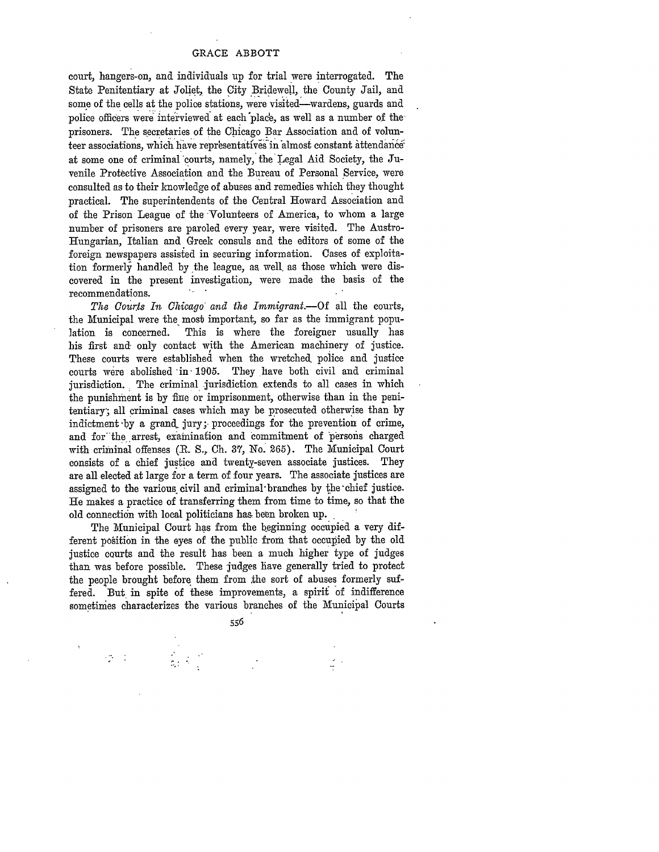court, hangers-on, and individuals up for trial were interrogated. The State Penitentiary at Joliet, the City Bridewell, the County Jail, and some of the cells at the police stations, were visited-wardens, guards and police officers were interviewed at each place, as well as a number of theprisoners. The secretaries of the Chicago Bar Association and of volunteer associations, which have representatives in almost constant attendance at some one of criminal 'courts, namely, the' Legal Aid Society, the Juvenile Protective Association and the Bureau of Personal Service, were consulted as to their knowledge of abuses and remedies which they thought practical. The superintendents of the Central Howard Association and of the Prison League of the 'Volunteers of America, to whom a large number of prisoners are paroled every year, were visited. The Austro-Hungarian, Italian and Greek consuls and the editors of some of the foreign newspapers assisted in securing information. Cases of exploitation formerly handled by the league, as. well, as those which were discovered in the present investigation, were made the basis of the recommendations.

*The Courts In Chicago and the Immigrant.-Of* all the courts, the Municipal were the most important, so far as the immigrant population is concerned. This is where the foreigner usually has his first and- only contact with the American machinery of justice. These courts were established when the wretched, police and justice courts were abolished 'in- 1905. They have both civil and criminal jurisdiction. The criminal jurisdiction extends to all cases in which the punishment is by fine or imprisonment, otherwise than in the penitentiary; all criminal cases which may be prosecuted otherwise than by indictment by a grand jury; proceedings for the prevention of crime, and for the arrest, examination and commitment of persons charged with criminal offenses (R. S., Ch. 37, No. 265). The Municipal Court consists of a chief justice and twenty-seven associate justices. They are all elected at large for a term of four years. The associate justices are assigned to the various civil and criminal branches by the chief justice. He makeg a practice of transferring them from time to time, so that the old connection with local politicians has been broken up.

The Municipal Court has from the beginning occupied a very different position in the eyes of the public from that occupied by the old justice courts and the result has been a much higher type of judges than was before possible. These judges have generally tried to protect the people brought before them from the sort of abuses formerly suffered. But in spite of these improvements, a spirif of indifference sometimes characterizes the various branches of the Municipal Courts

556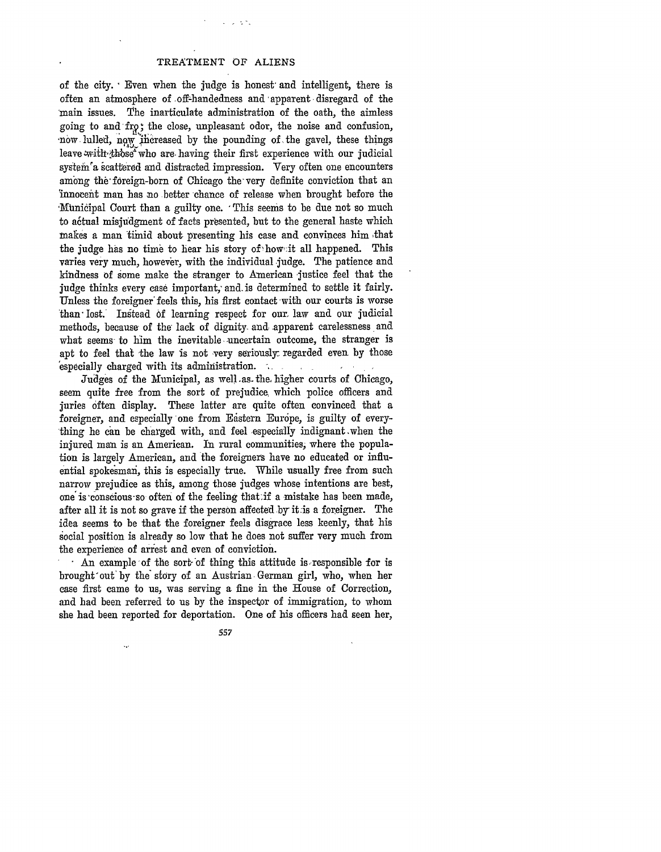#### TREATMENT OF ALIENS

of the city. Even when the judge is honest and intelligent, there is often an atmosphere of off-handedness and apparent disregard of the 'main issues. The inarticulate administration of the oath, the aimless going to and fro; the close, unpleasant odor, the noise and confusion, now lulled, now increased by the pounding of the gavel, these things leave with those who are having their first experience with our judicial system<sup>'</sup>a scattered and distracted impression. Very often one encounters among the foreign-born of Chicago the very definite conviction that an innocent man has no better chance of release when brought before the Municipal Court than a guilty one. This seems to be due not so much to actual misjudgment of facts presented, but to the general haste which makes a man tiinid about presenting his case and convinces him that the judge has no time to hear his story of how it all happened. This varies very much, however, with the individual judge. The patience and kindness of some make the stranger to American justice feel that the judge thinks every case important, and is determined to settle it fairly. Unless the foreigner feels this, his first contact with our courts is worse 'than- lost. Initead **of** learning respect for our, law and our judicial methods, because of the lack of dignity and apparent carelessness and what seems to him the inevitable uncertain outcome, the stranger is apt to feel that the law is not very seriously regarded even by those 'especially charged with its administration.  $\sim 10^{-11}$ 

Judges of the Municipal, as well as- the, higher courts of Chicago, seem quite free from the sort of prejudice which police officers and juries often display. These latter are quite often convinced that a foreigner, and especially one from Eastern Europe, is guilty of everything he can be charged with, and feel especially indignant-when the injured man is an American. In rural communities, where the population is largely American, and the foreigners have no educated or influential spokesman, this is especially true. While usually free from such narrow prejudice as this, among those judges whose intentions are best, one'is -conscious-so often of the feeling that if a mistake has been made, after all it is not so grave **if** the person affected **by** it *:is* a foreigner. The idea seems to be that the foreigner feels disgrace less keenly, that his social position is already so low that he does not suffer very much from

the experience of arrest and even of conviction.<br>An example of the sort-of thing this attitude is responsible for is brought'out' by the- story of an Austrian German girl, who, when her case first came to us, was serving a fine in the House of Correction, and had been referred to us by the inspector of immigration, to whom she had been reported for deportation. One of his officers had seen her,

**557**

w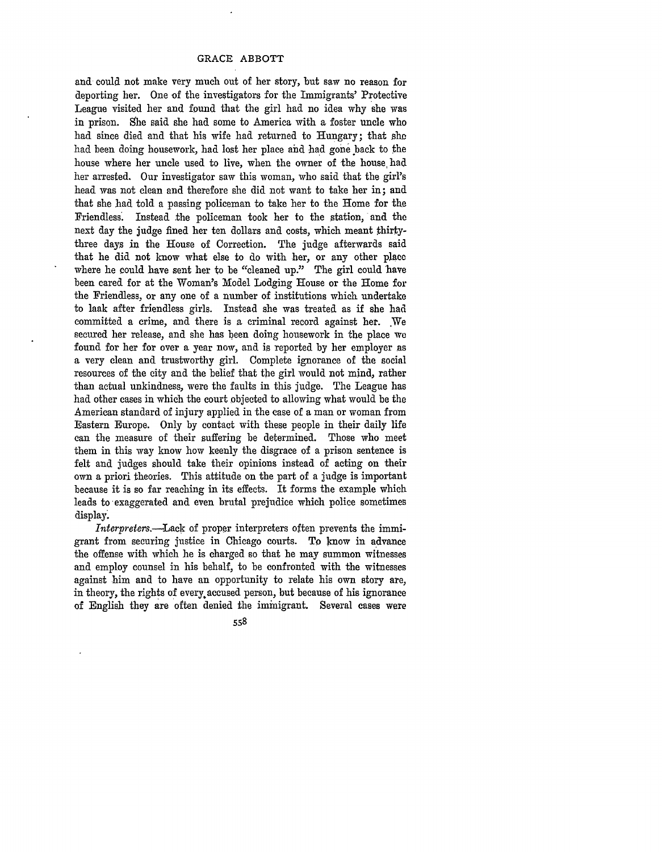and could not make very much out of her story, but saw no reason for deporting her. One of the investigators for the Immigrants' Protective League visited her and found that the girl had no idea why she was in prison. She said she had some to America with a foster uncle who had since died and that his wife had returned to Hungary; that she had been doing housework, had lost her place and had gone back to the house where her uncle used to live, when the owner of the house, had her arrested. Our investigator saw this woman, who said that the girl's head was not clean and therefore she did not want to take her in; and that she had told a passing policeman to take her to the Home for the Friendless. Instead the policeman took her to the station, and the next day the judge fined her ten dollars and costs, which meant thirtythree days in the House of Correction. The judge afterwards said that he did not know what else to do with her, or any other place where he could have sent her to be "cleaned up." The girl could have been cared for at the Woman's Model Lodging House or the Home for the Friendless, or any one of a number of institutions which undertake to laak after friendless girls. Instead she was treated as if she had committed a crime, and there is a criminal record against her. We secured her release, and she has been doing housework in the place we found for her for over a year now, and is reported by her employer as a very clean and trustworthy girl. Complete ignorance of the social resources of the city and the belief that the girl would not mind, rather than actual unkindness, were the faults in this judge. The League has had other cases in which the court objected to allowing what would be the American standard of injury applied in the case of a man or woman from Eastern Europe. Only by contact with these people in their daily life can the measure of their suffering be determined. Those who meet them in this way know how keenly the disgrace of a prison sentence is felt and judges should take their opinions instead of acting on their own a priori theories. This attitude on the part of a judge is important because it is so far reaching in its effects. It forms the example which leads to exaggerated and even brutal prejudice which police sometimes display.

*Interpreters.-Lack* of proper interpreters often prevents the immigrant from securing justice in Chicago courts. To know in advance the offense with which he is charged so that he may summon witnesses and employ counsel in his behalf, to be confronted with the witnesses against him and to have an opportunity to relate his own story are, in theory, the rights of every accused person, but because of his ignorance of English they are often denied the iminigrant. Several cases were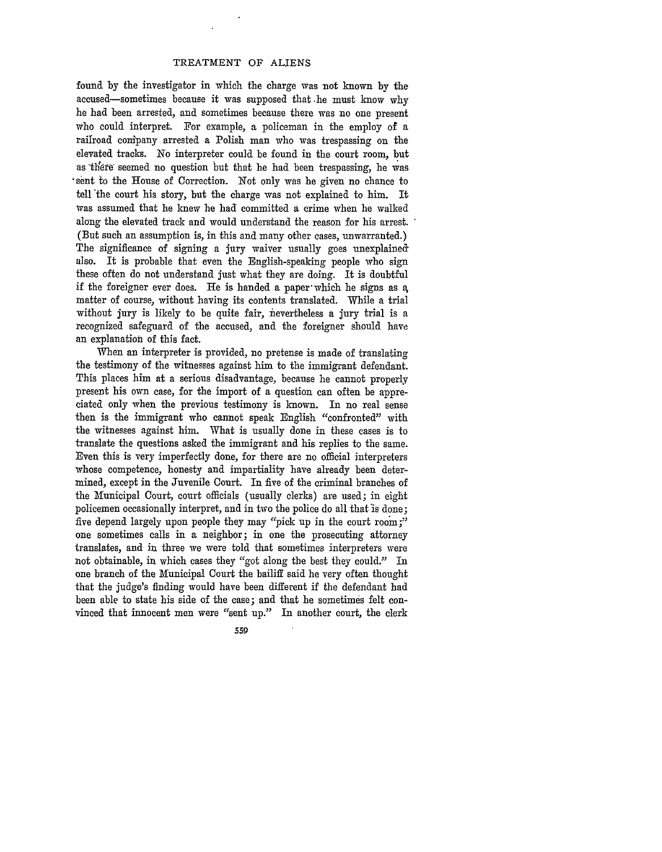#### TREATMENT OF ALIENS

found by the investigator in which the charge was not known by the accused-sometimes because it was supposed that he must know why he had been arrested, and sometimes because there was no one present who could interpret. For example, a policeman in the employ of a railroad company arrested a Polish man who was trespassing on the elevated tracks. No interpreter could be found in the court room, but as there seemed no question but that he had been trespassing, he was 'sent to the House of Correction. Not only was he given no chance to tell the court his story, but the charge was not explained to him. It was assumed that he knew he had committed a crime when he walked along the elevated track and would understand the reason for his arrest. (But such an assumption is, in this and many other cases, unwarranted.) The significance of signing a jury waiver usually goes unexplained also. It is probable that even the English-speaking people who sign these often do not understand just what they are doing. It is doubtful if the foreigner ever does. He is handed a paper" which he signs as **<sup>9</sup>** matter of course, without having its contents translated. While a trial without jury is likely to be quite fair, nevertheless a jury trial is a recognized safeguard of the accused, and the foreigner should have an explanation of this fact.

When an interpreter is provided, no pretense is made of translating the testimony of the witnesses against him to the immigrant defendant. This places him at a serious disadvantage, because he cannot properly present his own case, for the import of a question can often be appreciated only when the previous testimony is known. In no real sense then is the immigrant who cannot speak English "confronted" with the witnesses against him. What is usually done in these cases is to translate the questions asked the immigrant and his replies to the same. Even this is very imperfectly done, for there are no official interpreters whose competence, honesty and impartiality have already been determined, except in the Juvenile Court. In five of the criminal branches of the Municipal Court, court officials (usually clerks) are used; in eight policemen occasionally interpret, and in two the police do all that is done; five depend largely upon people they may "pick up in the court room;" one sometimes calls in a neighbor; in one the prosecuting attorney translates, and in three we were told that sometimes interpreters were not obtainable, in which cases they "got along the best they could." In one branch of the Municipal Court the bailiff said he very often thought that the judge's finding would have been different if the defendant had been able to state his side of the case; and that he sometimes felt convinced that innocent men were "sent up." In another court, the clerk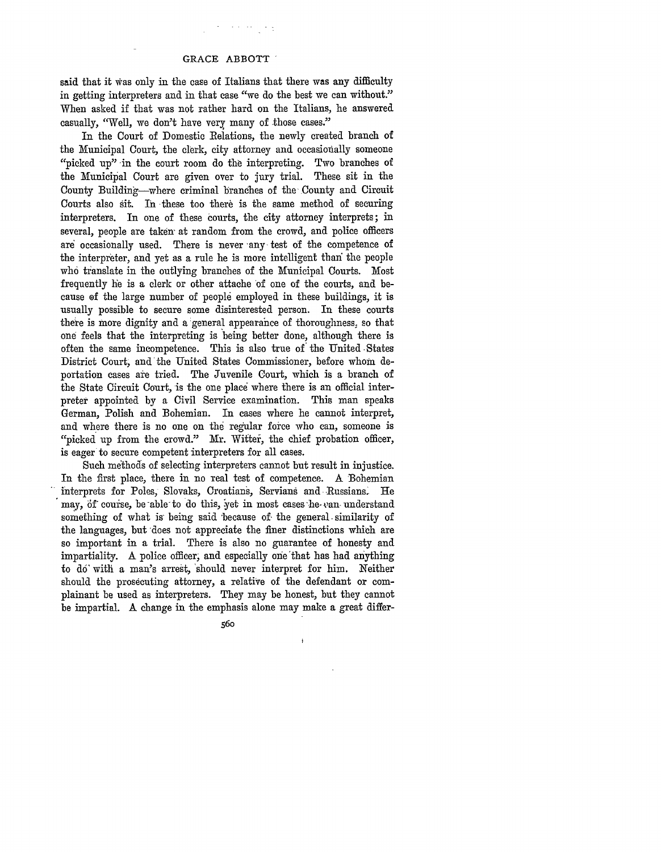said that it was only in the case of Italians that there was any difficulty in getting interpreters and in that case "we do the best we can without." When asked if that was not rather hard on the Italians, he answered casually, "Well, we don't have very many of those cases."

In the Court of Domestic Relations, the newly created branch of the Municipal Court, the clerk, city attorney and occasionally someone "picked up" in the court room do the interpreting. Two branches of the Municipal Court are given over to jury trial. These sit in the County Building-where criminal branches of the County and Circuit Courts also sit. In these too there is the same method of securing interpreters. In one of these courts, the city attorney interprets; in several, people are taken at random from the crowd, and police officers are occasionally used. There is never 'any test **of** the competence of the interpreter, and yet as a rule he is more intelligent than the people who translate in the outlying branches of the Municipal Courts. Most frequently he is a clerk or other attache of one of the courts, and because ef the large number of people employed in these buildings, it is usually possible to secure some disinterested person. In these courts there is more dignity and a general appearance of thoroughness, so that one feels that the interpreting is being better done, although there is often the same incompetence. This is also true of the United .States District Court, and the United States Commissioner, before whom deportation cases are tried. The Juvenile Court, which is a branch of the State Circuit Court, is the one place where there is an official interpreter appointed by a Civil Service examination. This man speaks German, Polish and Bohemian. In cases where he cannot interpret, and where there is no one on the regular force who can, someone is "picked up from the crowd." Mr. Witter, the chief probation officer, is eager to secure competent interpreters for all cases.

Such methods of selecting interpreters cannot but result in injustice. In the first place, there in no real test of competence. A Bohemian interprets for Poles, Slovaks, Croatians, Servians and Russians. He may, of course, be able to do this, yet in most cases he van understand something of what is being said because of the general similarity of the languages, but does not appreciate the finer distinctions which are so important in a trial. There is also no guarantee of honesty and impartiality. A police officer, and especially one'that has had anything to do' with a man's arrest, 'should never interpret for him. Neither should the prosecuting attorney, a relative of the defendant or complainant be used as interpreters. They may be honest, but they cannot be impartial. A change in the emphasis alone may make a great differ-

560

 $\mathbf{i}$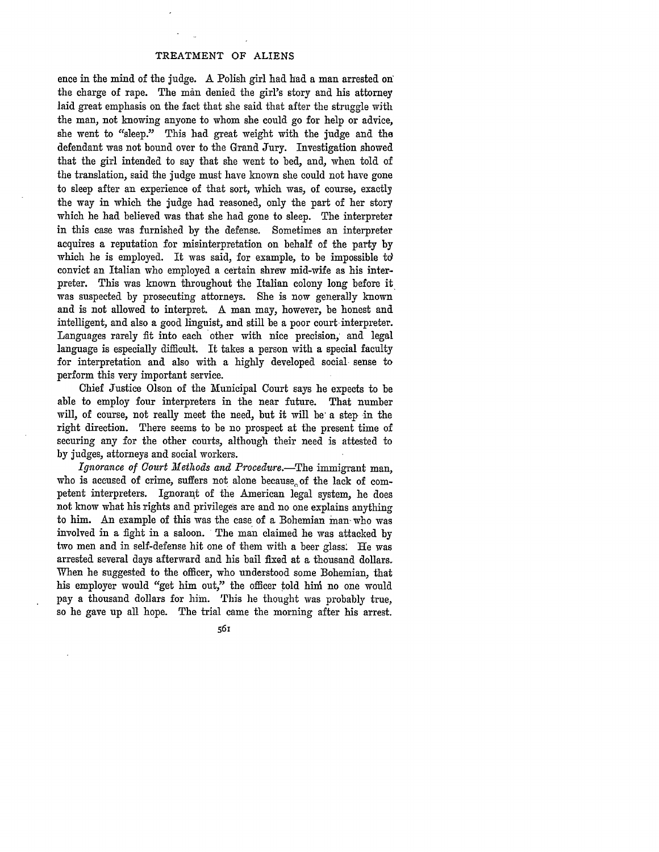#### TREATMENT OF ALIENS

ence in the mind of the judge. A Polish girl had had a man arrested on the charge of rape. The man denied the girl's story and his attorney laid great emphasis on the fact that she said that after the struggle with the man, not knowing anyone to whom she could go for help or advice, she went to "sleep." This had great weight with the judge and the defendant was not bound over to the Grand Jury. Investigation showed that the girl intended to say that she went to bed, and, when told of the translation, said the judge must have known she could not have gone to sleep after an experience of that sort, which was, of course, exactly the way in which the judge had reasoned, only the part of her story which he had believed was that she had gone to sleep. The interpreter in this case was furnished by the defense. Sometimes an interpreter acquires a reputation for misinterpretation on behalf of the party by which he is employed. It was said, for example, to be impossible to convict an Italian who employed a certain shrew mid-wife as his interpreter. This was known throughout the Italian colony long before it was suspected by prosecuting attorneys. She is now generally known and is not allowed to interpret. A man may, however, be honest and intelligent, and also a good linguist, and still be a poor court interpreter. Languages rarely fit into each other with nice precision, and legal language is especially difficult. It takes a person with a special faculty for interpretation and also with a highly developed social sense to perform this very important service.

Chief Justice Olson of the Municipal Court says he expects to be able to employ four interpreters in the near future. That number will, of course, not really meet the need, but it will *be'* a step, in the right direction. There seems to be no prospect at the present time of securing any for the other courts, although their need is attested to by judges, attorneys and social workers.

*Ignorance of Court Methods and Procedure.*—The *immigrant man*, who is accused of crime, suffers not alone because of the lack of competent interpreters. Ignorant of the American legal system, he does not know what his rights and privileges are and no one explains anything to him. An example of this was the case of a Bohemian man, who was involved in a fight in a saloon. The man claimed he was attacked by two men and in self-defense hit one of them with a beer glass. He was arrested several days afterward and his bail fixed at a thousand dollars. When he suggested to the officer, who understood some Bohemian, that his employer would "get him out," the officer told hini no one would pay a thousand dollars for him. This he thought was probably true, so he gave up all hope. The trial came the morning after his arrest.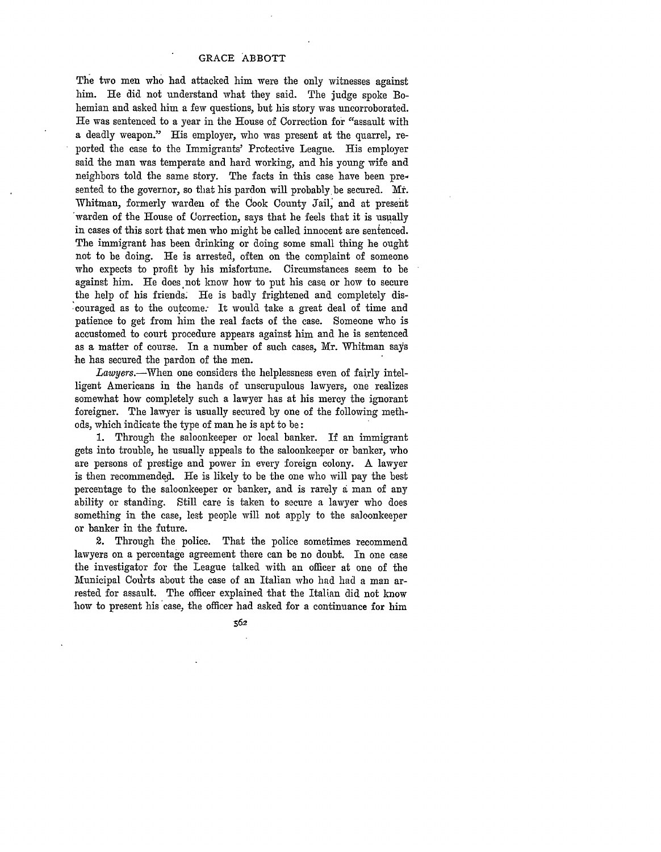The two men who had attacked him were the only witnesses against him. He did not understand what they said. The judge spoke Bohemian and asked him a few questions, but his story was uncorroborated. He was sentenced to a year in the House of Correction for "assault with a deadly weapon." His employer, who was present at the quarrel, reported the case to the Immigrants' Protective League. His employer said the man was temperate and hard working, and his young wife and neighbors told the same story. The facts in this case have been presented to the governor, so that his pardon will probably be secured. **Mr.** Whitman, formerly warden of the Cook County Jail, and at present warden of the House of Correction, says that he feels that it is usually in cases of this sort that men who might be called innocent are sentenced. The immigrant has been drinking or doing some small thing he ought not to be doing. He is arrested, often on the complaint of someone who expects to profit by his misfortune. Circumstances seem to be against him. He does not know how to put his case or how to secure the help of his friends. He is badly frightened and completely dis couraged as to the outcome. It would take a great deal of time and patience to get from him the real facts of the case. Someone who is accustomed to court procedure appears against him and he is sentenced as a matter of course. In a number of such cases, Mr. Whitman says he has secured the pardon of the men.

*Lawyers.-When* one considers the helplessness even of fairly intelligent Americans in the hands of unscrupulous lawyers, one realizes somewhat how completely such a lawyer has at his mercy the ignorant foreigner. The lawyer is usually secured by one of the following methods, which indicate the type of man he is apt to be:

1. Through the saloonkeeper or local banker. If an immigrant gets into trouble, he usually appeals to the saloonkeeper or banker, who are persons of prestige and power in every foreign colony. A lawyer is then recommended. He is likely to be the one who will pay the best percentage to the saloonkeeper or banker, and is rarely a man of any ability or standing. Still care is taken to secure a lawyer who does something in the case, lest people will not apply to the saloonkeeper or banker in the future.

2. Through the police. That the police sometimes recommend lawyers on a percentage agreement there can be no doubt. In one case the investigator for the League talked with an officer at one of the Municipal Courts about the case of an Italian who had had a man arrested for assault. The officer explained that the Italian did not know how to present his case, the officer had asked for a continuance for him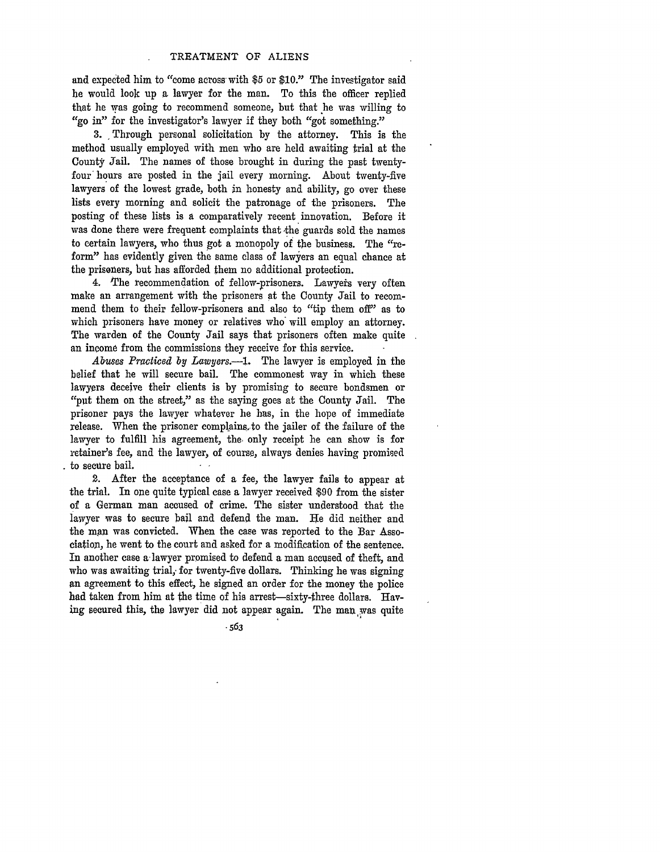and expected him to "come across with \$5 or \$10." The investigator said he would look up **a** lawyer for the man. To this the officer replied that he was going to recommend someone, but that he was willing to *('go* in" for the investigator's lawyer if they both "got something."

3. Through personal solicitation by the attorney. This is the method usually employed with men who are held awaiting trial at the County Jail. The names of those brought in during the past twentyfour' hours are posted in the jail every morning. About twenty-five lawyers of the lowest grade, both in honesty and ability, go over these lists every morning and solicit the patronage of the prisoners. The posting of these lists is a comparatively recent innovation. Before it was done there were frequent complaints that the guards sold the names to certain lawyers, who thus got a monopoly of the business. The "reform" has evidently given the same class of lawyers an equal chance at the prisoners, but has afforded them no additional protection.

4. The recommendation of fellow-prisoners. Lawyers very often make an arrangement with the prisoners at the County Jail to recommend them to their fellow-prisoners and also to "tip them off" as to which prisoners have money or relatives who will employ an attorney. The warden of the County Jail says that prisoners often make quite an income from the commissions they receive for this service.

*Abuses Practiced by Lawyers.*--1. The lawyer is employed in the belief that he will secure bail. The commonest way in which these lawyers deceive their clients is by promising to secure bondsmen or "put them on the street," as the saying goes at the County Jail. The prisoner pays the lawyer whatever he has, in the hope of immediate release. When the prisoner complains to the jailer of the failure of the lawyer to fulfill his agreement, the only receipt he can show is for retainer's fee, and the lawyer, of course, always denies having promised to secure bail.

2. After the acceptance of a fee, the lawyer fails to appear at the trial. In one quite typical case a lawyer received \$90 from the sister of a German man accused of crime. The sister understood that the lawyer was to secure bail and defend the man. He did neither and the man was convicted. When the case was reported to the Bar Association, he went to the court and asked for a modification of the sentence. In another case a lawyer promised to defend a man accused of theft, and who was awaiting trial, for twenty-five dollars. Thinking he was signing an agreement to this effect, he signed an order for the money the police had taken from him at the time of his arrest-sixty-three dollars. Having secured this, the lawyer did not appear again. The mau was quite

 $.563$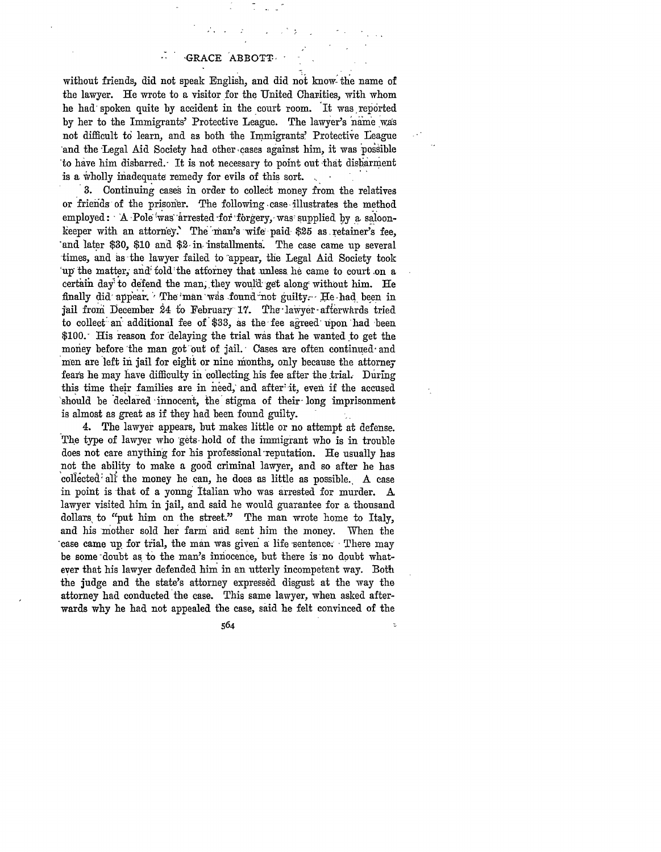without friends, did not speak English, and did not know the name of the lawyer. He wrote to a visitor for the United Charities, with whom he had spoken quite by accident in the court room. It was reported by her to the Immigrants' Protective League. The lawyer's name was not difficult to learn, and as both the Immigrants' Protective League 'and the Legal Aid Society had other cases against him, it was possible to have him disbarred. It is not necessary to point out that disbarment is a wholly inadequate remedy for evils of this sort.

3. Continuing cases in order to collect money from the relatives or frieids of the prisoner. The following -case illustrates the method employed: `A Pole 'was' arrested for forgery, was supplied by a saloonkeeper with an attorney.' The-man2s -wife- paid- **\$25** as, retainer's fee, 'and later \$30, \$10 and \$2 in. installments'. The case came up several times, and as-the lawyer failed to appear, the Legal Aid Society took 'up the matter, and told the attorney that unless he came to court on a certain day to defend the man, they would get along without him. He finally did appear. The man was found not guilty- He had been in jail froni December 4 to February 17. The-lawyer- afterwards tried to collect an additional fee of \$33, as the fee agreed upon had been \$100. His reason for delaying the trial was that he wanted to get the money before the man got out of jail. Cases are often continued and men are left in jail for eight or nine months, only because the attorney fears he may have difficulty in collecting, his fee after the trial, During this time their families are in need, and after it, even if the accused 'should be "declared 'innocent, the stigma of their-long imprisonment is almost as great as if they had been found guilty.

4. The lawyer appears, but makes little or no attempt at defense. The type of lawyer who gets hold of the immigrant who is in trouble does not care anything for his professional reputation. He usually has not the ability to make a good criminal lawyer, and so after he has collected all the money he can, he does as little as possible.  $A$  case in point is that of a yonng Italian who was arrested for murder. **A** lawyer visited him in jail, and said he would guarantee for a thousand dollars, to "put him on the street." The man wrote home to Italy, and his 'mother sold her farm and sent him the money. When the case came up for trial, the man was given a life sentence. There may be some doubt as to the man's innocence, but there is no doubt whatever that his lawyer defended him in an utterly incompetent way. Both the judge and the state's attorney expressed disgust at the way the attorney had conducted the case. This same lawyer, when asked afterwards why he had not appealed the case, said he felt convinced of the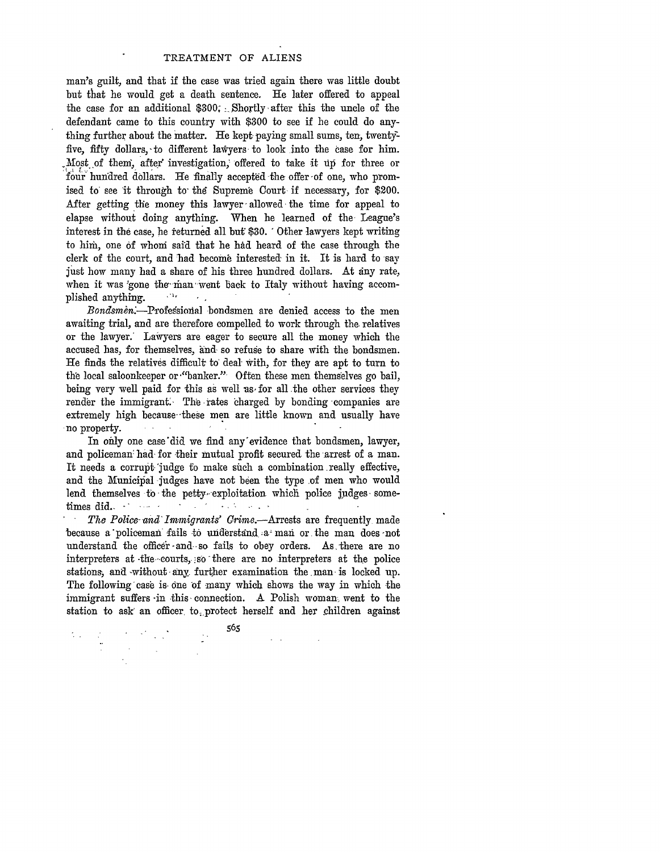man's guilt, and that if the case was tried again there was little doubt but that he would get a death sentence. He later offered to appeal the case for an additional  $$300;$ . Shortly after this the uncle of the defendant came to this country with \$300 to see if he could do anything further about the matter. He kept paying small sums, ten, twentyfive, fifty dollars, to different lawyers to look into the case for him. Most of them, after investigation, offered to take it up for three or four hundred dollars. He finally accepted the offer of one, who promised to see it through to the Supreme Court if necessary, for \$200. After getting the money this lawyer- allowed- the time for appeal to elapse without doing anything. When he learned of the- League's interest in the case, he returned all but \$30. 'Other lawyers kept writing to himi, one of whoni said that he hid heard of the case through the clerk of the court, and had become interested in it. It is hard to say just how many had a share of his three hundred dollars. At any rate, when it was 'gone the-man went back to Italy without having accomplished anything.  $\cdots$ 

*Bondsmen.*--Professional bondsmen are denied access to the men awaiting trial, and are therefore compelled to work through the relatives or the lawyer.' Lawyers are eager to secure all the money which the accused has, for themselves, and so refuse to share with the bondsmen. He finds the relatives difficult to' deal with, for they are apt to turn to the local saloonkeeper or "banker." Often these men themselves go bail, being very well paid for this as well as for all the other services they render the immigrant. The rates charged by bonding companies are extremely high because these men are little known and usually have no property.  $\alpha$  ,  $\alpha$  ,  $\beta$  ,  $\alpha$ 

In only one case did we find any evidence that bondsmen, lawyer, and policeman: had- for their mutual profit secured the arrest of a man. It needs a corrupt-judge to make such a combination really effective, and the Municipal judges have not been the type of men who would lend themselves to the petty-exploitation which police judges sometimes did., - ..

*The Police and Immigrants' Grime.*-Arrests are frequently made because a policeman fails to understand a man or the man does not understand the officer-and-so fails to obey orders. As there are no interpreters at -the- courts, :so 'there are no interpreters at the police stations, and without any further examination the man is locked up. The following case is one of many which shows the way in which the immigrant suffers -in this -connection. A Polish woman: went to the station to ask an officer to, protect herself and her children against

565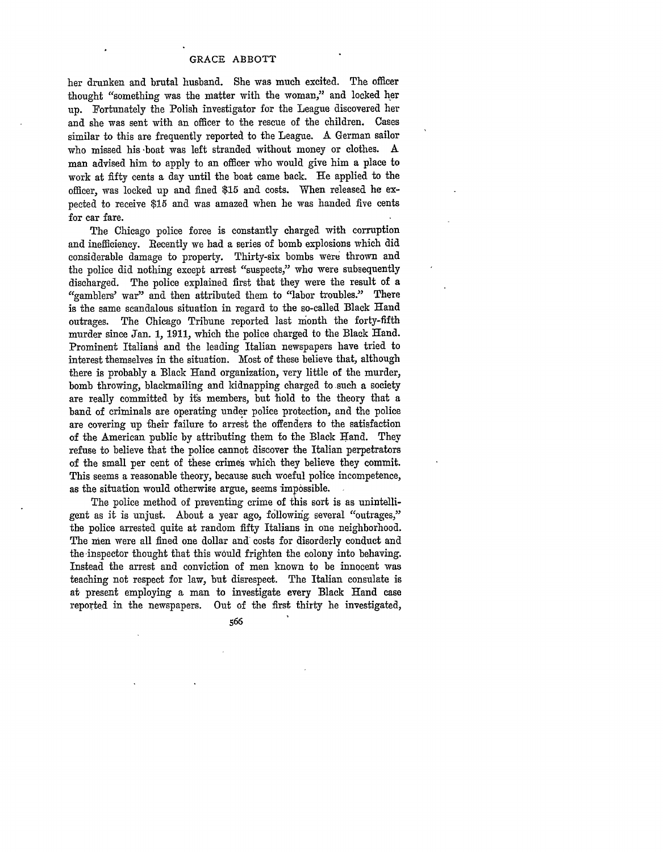her drunken and brutal husband. She was much excited. The officer thought "something was the matter with the woman," and locked her up. Fortunately the Polish investigator for the League discovered her and she was sent with an officer to the rescue of the children. Cases similar to this are frequently reported to the League. A German sailor who missed his -boat was left stranded without money or clothes. A man advised him to apply to an officer who would give him a place to work at fifty cents a day until the boat came back. He applied to the officer, was locked up and fined \$15 and costs. When released he expected to receive \$15 and was amazed when he was handed five cents for car fare.

The Chicago police force is constantly charged with corruption and inefficiency. Recently we had a series of bomb explosions which did considerable damage to property. Thirty-six bombs were thrown and the police did nothing except arrest "suspects," who were subsequently discharged. The police explained first that they were the result of a "gamblers' war" and then attributed them to "labor troubles." There is the same scandalous situation in regard to the so-called Black Hand outrages. The Chicago Tribune reported last month the forty-fifth murder since Jan. 1, 1911, which the police charged to the Black Hand. Prominent Italians and the leading Italian newspapers have tried to interest themselves in the situation. Most of these believe that, although there is probably a Black Hand organization, very little of the murder, bomb throwing, blackmailing and kidnapping charged to such a society are really committed by **ifs** members, but hold to the theory that a band of criminals are operating under police protection, and the police are covering up their failure to arrest the offenders to the satisfaction of the American public by attributing them to the Black Hand. They refuse to believe that the police cannot discover the Italian perpetrators of the small per cent of these crimes which they believe they commit. This seems a reasonable theory, because such woeful police incompetence, as the situation would otherwise argue, seems impossible.

The police method of preventing crime of this sort is as unintelligent as it is unjust. About a year ago, following several "outrages," the police arrested quite at random fifty Italians in one neighborhood. The men were all fined one dollar and costs for disorderly conduct and the inspector thought that this would frighten the colony into behaving. Instead the arrest and conviction of men known to be innocent was teaching not respect for law, but disrespect. The Italian consulate is at present employing a man to investigate every Black Hand case reported in the newspapers. Out of the first thirty he investigated,